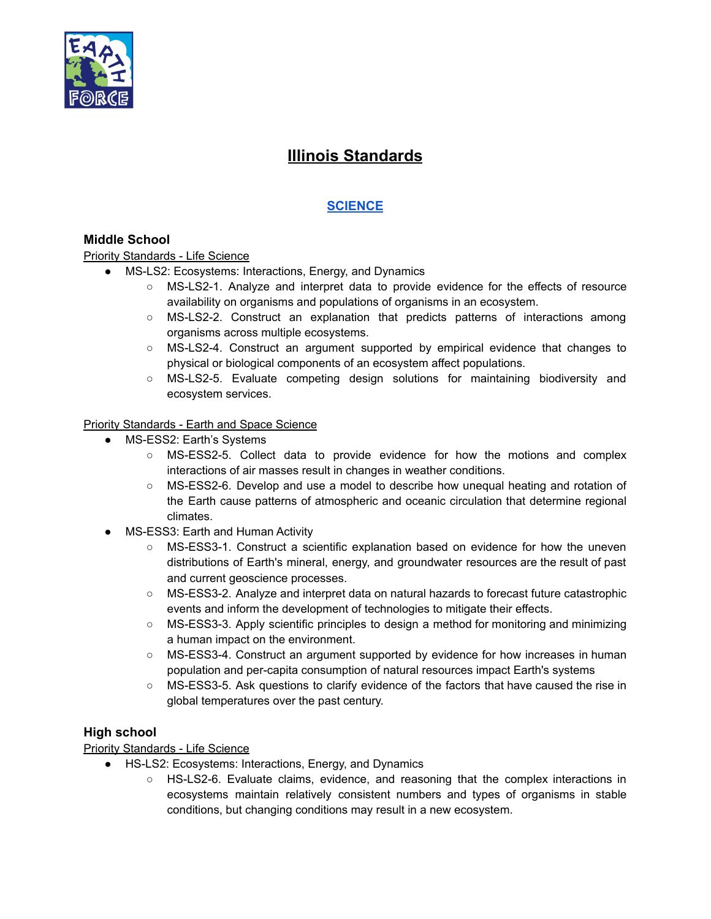

# **Illinois Standards**

# **[SCIENCE](https://www.isbe.net/Documents/Illinois-Priority-Learning-Standards-2020-21-Science-Learning.pdf)**

# **Middle School**

Priority Standards - Life Science

- MS-LS2: Ecosystems: Interactions, Energy, and Dynamics
	- MS-LS2-1. Analyze and interpret data to provide evidence for the effects of resource availability on organisms and populations of organisms in an ecosystem.
	- MS-LS2-2. Construct an explanation that predicts patterns of interactions among organisms across multiple ecosystems.
	- MS-LS2-4. Construct an argument supported by empirical evidence that changes to physical or biological components of an ecosystem affect populations.
	- MS-LS2-5. Evaluate competing design solutions for maintaining biodiversity and ecosystem services.

# Priority Standards - Earth and Space Science

- MS-ESS2: Earth's Systems
	- MS-ESS2-5. Collect data to provide evidence for how the motions and complex interactions of air masses result in changes in weather conditions.
	- MS-ESS2-6. Develop and use a model to describe how unequal heating and rotation of the Earth cause patterns of atmospheric and oceanic circulation that determine regional climates.
- MS-ESS3: Earth and Human Activity
	- MS-ESS3-1. Construct a scientific explanation based on evidence for how the uneven distributions of Earth's mineral, energy, and groundwater resources are the result of past and current geoscience processes.
	- MS-ESS3-2. Analyze and interpret data on natural hazards to forecast future catastrophic events and inform the development of technologies to mitigate their effects.
	- MS-ESS3-3. Apply scientific principles to design a method for monitoring and minimizing a human impact on the environment.
	- MS-ESS3-4. Construct an argument supported by evidence for how increases in human population and per-capita consumption of natural resources impact Earth's systems
	- MS-ESS3-5. Ask questions to clarify evidence of the factors that have caused the rise in global temperatures over the past century.

# **High school**

# **Priority Standards - Life Science**

- HS-LS2: Ecosystems: Interactions, Energy, and Dynamics
	- HS-LS2-6. Evaluate claims, evidence, and reasoning that the complex interactions in ecosystems maintain relatively consistent numbers and types of organisms in stable conditions, but changing conditions may result in a new ecosystem.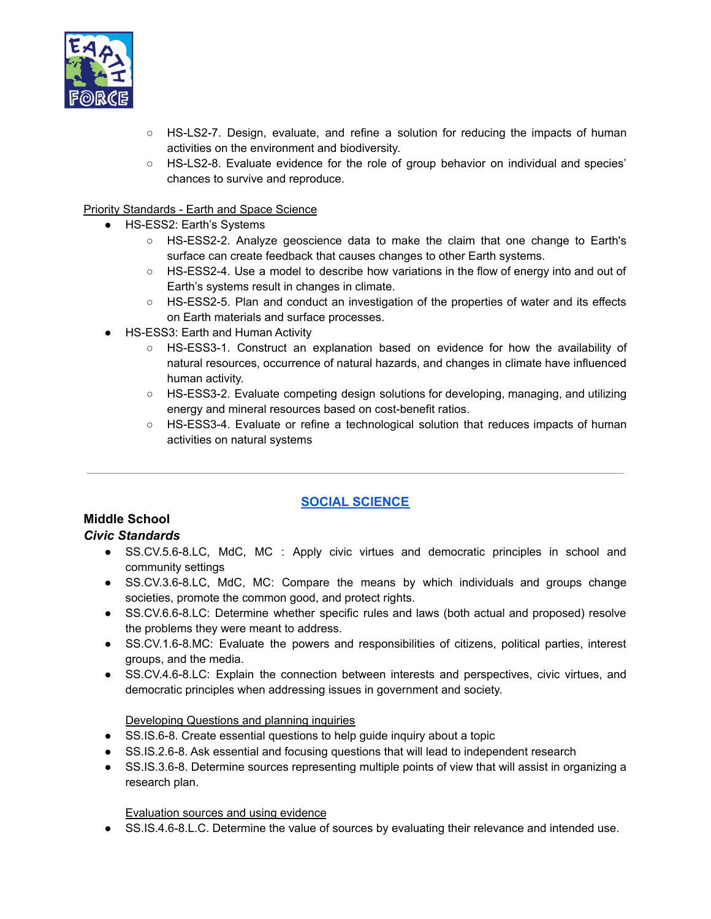

- HS-LS2-7. Design, evaluate, and refine a solution for reducing the impacts of human activities on the environment and biodiversity.
- HS-LS2-8. Evaluate evidence for the role of group behavior on individual and species' chances to survive and reproduce.

#### Priority Standards - Earth and Space Science

- HS-ESS2: Earth's Systems
	- HS-ESS2-2. Analyze geoscience data to make the claim that one change to Earth's surface can create feedback that causes changes to other Earth systems.
	- HS-ESS2-4. Use a model to describe how variations in the flow of energy into and out of Earth's systems result in changes in climate.
	- HS-ESS2-5. Plan and conduct an investigation of the properties of water and its effects on Earth materials and surface processes.
- HS-ESS3: Earth and Human Activity
	- HS-ESS3-1. Construct an explanation based on evidence for how the availability of natural resources, occurrence of natural hazards, and changes in climate have influenced human activity.
	- HS-ESS3-2. Evaluate competing design solutions for developing, managing, and utilizing energy and mineral resources based on cost-benefit ratios.
	- HS-ESS3-4. Evaluate or refine a technological solution that reduces impacts of human activities on natural systems

# **SOCIAL [SCIENCE](https://www.isbe.net/Documents/Illinois-Priority-Learning-Standards-2020-21-Social-Science-Learning.pdf)**

# **Middle School**

#### *Civic Standards*

- SS.CV.5.6-8.LC, MdC, MC : Apply civic virtues and democratic principles in school and community settings
- SS.CV.3.6-8.LC, MdC, MC: Compare the means by which individuals and groups change societies, promote the common good, and protect rights.
- SS.CV.6.6-8.LC: Determine whether specific rules and laws (both actual and proposed) resolve the problems they were meant to address.
- SS.CV.1.6-8.MC: Evaluate the powers and responsibilities of citizens, political parties, interest groups, and the media.
- SS.CV.4.6-8.LC: Explain the connection between interests and perspectives, civic virtues, and democratic principles when addressing issues in government and society.

#### Developing Questions and planning inquiries

- SS.IS.6-8. Create essential questions to help quide inquiry about a topic
- SS.IS.2.6-8. Ask essential and focusing questions that will lead to independent research
- SS.IS.3.6-8. Determine sources representing multiple points of view that will assist in organizing a research plan.

#### Evaluation sources and using evidence

• SS.IS.4.6-8.L.C. Determine the value of sources by evaluating their relevance and intended use.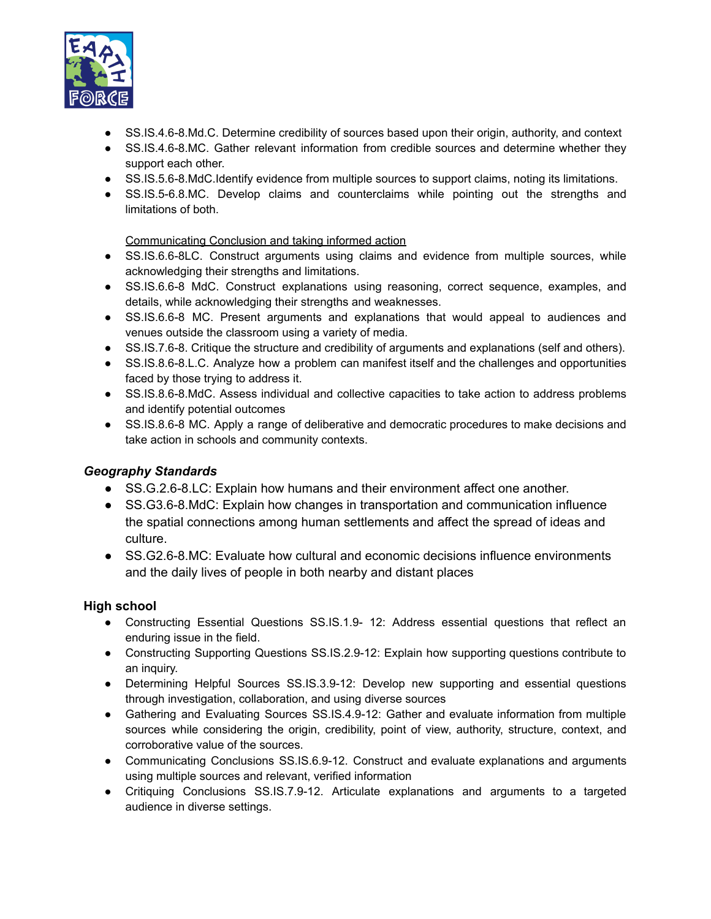

- SS.IS.4.6-8.Md.C. Determine credibility of sources based upon their origin, authority, and context
- SS.IS.4.6-8.MC. Gather relevant information from credible sources and determine whether they support each other.
- SS.IS.5.6-8.MdC.Identify evidence from multiple sources to support claims, noting its limitations.
- SS.IS.5-6.8.MC. Develop claims and counterclaims while pointing out the strengths and limitations of both.

#### Communicating Conclusion and taking informed action

- SS.IS.6.6-8LC. Construct arguments using claims and evidence from multiple sources, while acknowledging their strengths and limitations.
- SS.IS.6.6-8 MdC. Construct explanations using reasoning, correct sequence, examples, and details, while acknowledging their strengths and weaknesses.
- SS.IS.6.6-8 MC. Present arguments and explanations that would appeal to audiences and venues outside the classroom using a variety of media.
- SS.IS.7.6-8. Critique the structure and credibility of arguments and explanations (self and others).
- SS.IS.8.6-8.L.C. Analyze how a problem can manifest itself and the challenges and opportunities faced by those trying to address it.
- SS.IS.8.6-8.MdC. Assess individual and collective capacities to take action to address problems and identify potential outcomes
- SS.IS.8.6-8 MC. Apply a range of deliberative and democratic procedures to make decisions and take action in schools and community contexts.

# *Geography Standards*

- SS.G.2.6-8.LC: Explain how humans and their environment affect one another.
- SS.G3.6-8.MdC: Explain how changes in transportation and communication influence the spatial connections among human settlements and affect the spread of ideas and culture.
- SS.G2.6-8.MC: Evaluate how cultural and economic decisions influence environments and the daily lives of people in both nearby and distant places

# **High school**

- Constructing Essential Questions SS.IS.1.9- 12: Address essential questions that reflect an enduring issue in the field.
- Constructing Supporting Questions SS.IS.2.9-12: Explain how supporting questions contribute to an inquiry.
- Determining Helpful Sources SS.IS.3.9-12: Develop new supporting and essential questions through investigation, collaboration, and using diverse sources
- Gathering and Evaluating Sources SS.IS.4.9-12: Gather and evaluate information from multiple sources while considering the origin, credibility, point of view, authority, structure, context, and corroborative value of the sources.
- Communicating Conclusions SS.IS.6.9-12. Construct and evaluate explanations and arguments using multiple sources and relevant, verified information
- Critiquing Conclusions SS.IS.7.9-12. Articulate explanations and arguments to a targeted audience in diverse settings.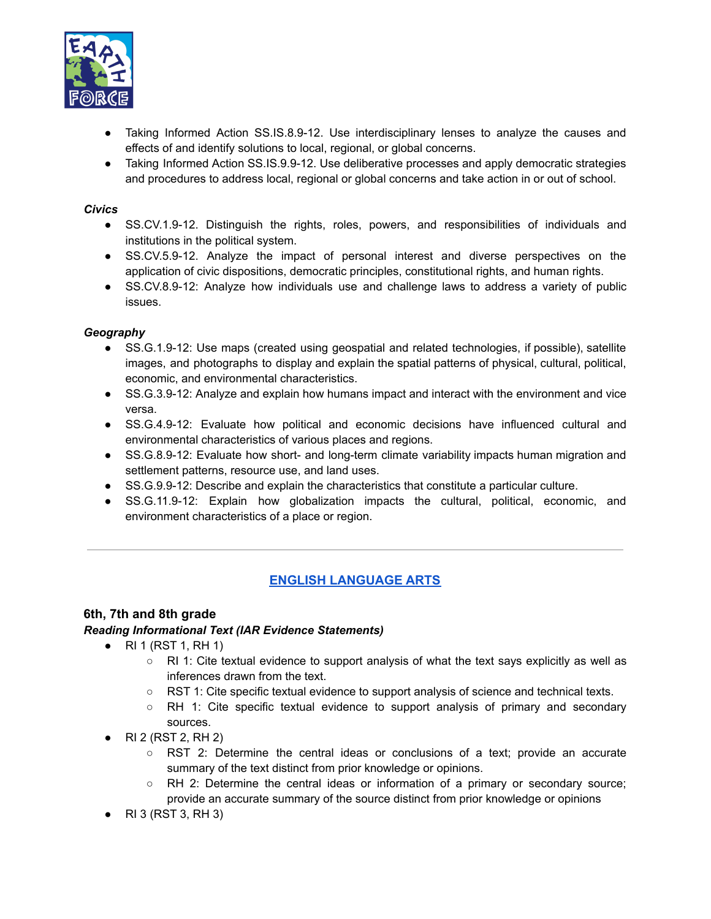

- Taking Informed Action SS.IS.8.9-12. Use interdisciplinary lenses to analyze the causes and effects of and identify solutions to local, regional, or global concerns.
- Taking Informed Action SS.IS.9.9-12. Use deliberative processes and apply democratic strategies and procedures to address local, regional or global concerns and take action in or out of school.

#### *Civics*

- SS.CV.1.9-12. Distinguish the rights, roles, powers, and responsibilities of individuals and institutions in the political system.
- SS.CV.5.9-12. Analyze the impact of personal interest and diverse perspectives on the application of civic dispositions, democratic principles, constitutional rights, and human rights.
- SS.CV.8.9-12: Analyze how individuals use and challenge laws to address a variety of public issues.

#### *Geography*

- SS.G.1.9-12: Use maps (created using geospatial and related technologies, if possible), satellite images, and photographs to display and explain the spatial patterns of physical, cultural, political, economic, and environmental characteristics.
- SS.G.3.9-12: Analyze and explain how humans impact and interact with the environment and vice versa.
- SS.G.4.9-12: Evaluate how political and economic decisions have influenced cultural and environmental characteristics of various places and regions.
- SS.G.8.9-12: Evaluate how short- and long-term climate variability impacts human migration and settlement patterns, resource use, and land uses.
- SS.G.9.9-12: Describe and explain the characteristics that constitute a particular culture.
- SS.G.11.9-12: Explain how globalization impacts the cultural, political, economic, and environment characteristics of a place or region.

# **ENGLISH [LANGUAGE](https://www.isbe.net/Documents/Illinois-Priority-Learning-Standards-2020-21-ELA.pdf) ARTS**

# **6th, 7th and 8th grade**

#### *Reading Informational Text (IAR Evidence Statements)*

- $\bullet$  RI 1 (RST 1, RH 1)
	- $\circ$  RI 1: Cite textual evidence to support analysis of what the text says explicitly as well as inferences drawn from the text.
	- RST 1: Cite specific textual evidence to support analysis of science and technical texts.
	- RH 1: Cite specific textual evidence to support analysis of primary and secondary sources.
- RI 2 (RST 2, RH 2)
	- RST 2: Determine the central ideas or conclusions of a text; provide an accurate summary of the text distinct from prior knowledge or opinions.
	- RH 2: Determine the central ideas or information of a primary or secondary source; provide an accurate summary of the source distinct from prior knowledge or opinions
- RI 3 (RST 3, RH 3)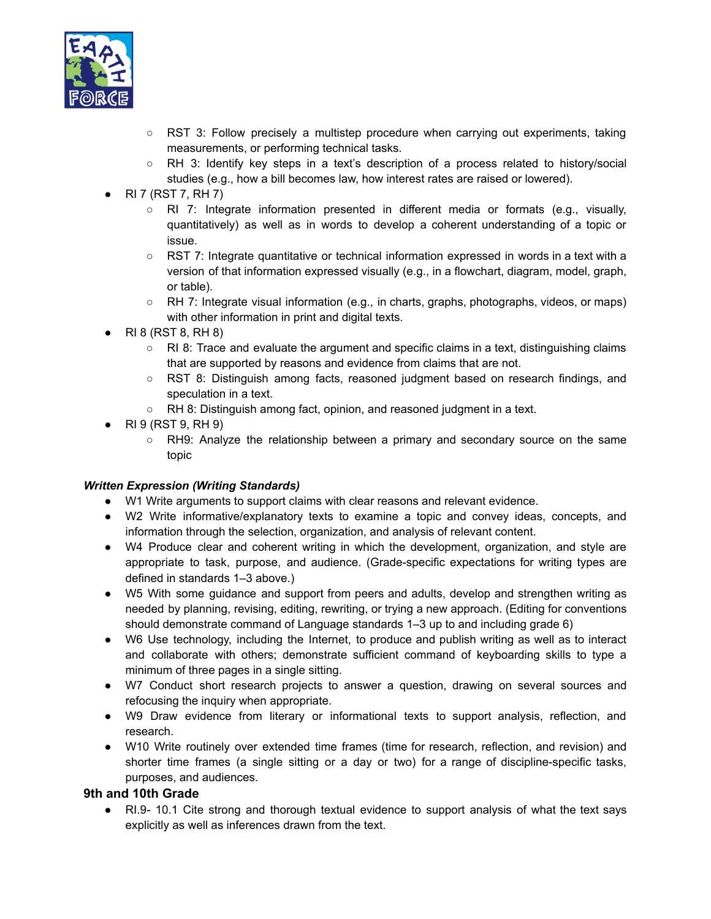

- RST 3: Follow precisely a multistep procedure when carrying out experiments, taking measurements, or performing technical tasks.
- RH 3: Identify key steps in a text's description of a process related to history/social studies (e.g., how a bill becomes law, how interest rates are raised or lowered).
- $\bullet$  RI 7 (RST 7, RH 7)
	- RI 7: Integrate information presented in different media or formats (e.g., visually, quantitatively) as well as in words to develop a coherent understanding of a topic or issue.
	- RST 7: Integrate quantitative or technical information expressed in words in a text with a version of that information expressed visually (e.g., in a flowchart, diagram, model, graph, or table).
	- RH 7: Integrate visual information (e.g., in charts, graphs, photographs, videos, or maps) with other information in print and digital texts.
- $\bullet$  RI 8 (RST 8, RH 8)
	- $\circ$  RI 8: Trace and evaluate the argument and specific claims in a text, distinguishing claims that are supported by reasons and evidence from claims that are not.
	- RST 8: Distinguish among facts, reasoned judgment based on research findings, and speculation in a text.
	- RH 8: Distinguish among fact, opinion, and reasoned judgment in a text.
- $\bullet$  RI 9 (RST 9, RH 9)
	- RH9: Analyze the relationship between a primary and secondary source on the same topic

#### *Written Expression (Writing Standards)*

- W1 Write arguments to support claims with clear reasons and relevant evidence.
- W2 Write informative/explanatory texts to examine a topic and convey ideas, concepts, and information through the selection, organization, and analysis of relevant content.
- W4 Produce clear and coherent writing in which the development, organization, and style are appropriate to task, purpose, and audience. (Grade-specific expectations for writing types are defined in standards 1–3 above.)
- W5 With some guidance and support from peers and adults, develop and strengthen writing as needed by planning, revising, editing, rewriting, or trying a new approach. (Editing for conventions should demonstrate command of Language standards 1–3 up to and including grade 6)
- W6 Use technology, including the Internet, to produce and publish writing as well as to interact and collaborate with others; demonstrate sufficient command of keyboarding skills to type a minimum of three pages in a single sitting.
- W7 Conduct short research projects to answer a question, drawing on several sources and refocusing the inquiry when appropriate.
- W9 Draw evidence from literary or informational texts to support analysis, reflection, and research.
- W10 Write routinely over extended time frames (time for research, reflection, and revision) and shorter time frames (a single sitting or a day or two) for a range of discipline-specific tasks, purposes, and audiences.

# **9th and 10th Grade**

● RI.9- 10.1 Cite strong and thorough textual evidence to support analysis of what the text says explicitly as well as inferences drawn from the text.